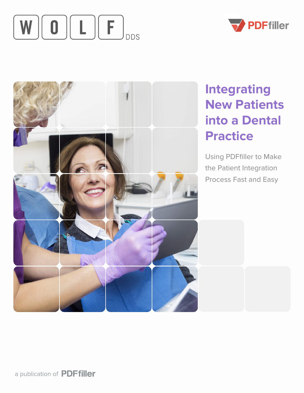# **Integrating New Patients into a Dental**







Using PDFfiller to Make the Patient Integration Process Fast and Easy



#### a publication of PDFfiller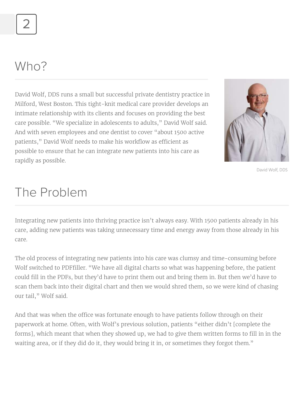David Wolf, DDS runs a small but successful private dentistry practice in Milford, West Boston. This tight-knit medical care provider develops an intimate relationship with its clients and focuses on providing the best care possible. "We specialize in adolescents to adults," David Wolf said. And with seven employees and one dentist to cover "about 1500 active patients," David Wolf needs to make his workflow as efficient as possible to ensure that he can integrate new patients into his care as rapidly as possible.



Integrating new patients into thriving practice isn't always easy. With 1500 patients already in his

care, adding new patients was taking unnecessary time and energy away from those already in his care.

And that was when the office was fortunate enough to have patients follow through on their paperwork at home. Often, with Wolf's previous solution, patients "either didn't [complete the forms], which meant that when they showed up, we had to give them written forms to fill in in the waiting area, or if they did do it, they would bring it in, or sometimes they forgot them."

The old process of integrating new patients into his care was clumsy and time-consuming before Wolf switched to PDFfiller. "We have all digital charts so what was happening before, the patient could fill in the PDFs, but they'd have to print them out and bring them in. But then we'd have to scan them back into their digital chart and then we would shred them, so we were kind of chasing our tail," Wolf said.

## The Problem

2

## Who?

David Wolf, DDS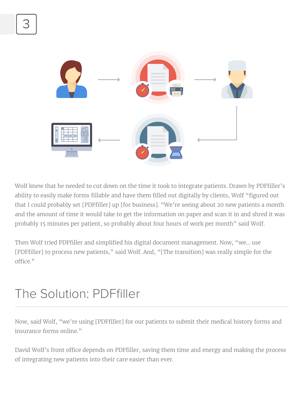

Wolf knew that he needed to cut down on the time it took to integrate patients. Drawn by PDFfiller's ability to easily make forms fillable and have them filled out digitally by clients, Wolf "figured out that I could probably set [PDFfiller] up [for business]. "We're seeing about 20 new patients a month and the amount of time it would take to get the information on paper and scan it in and shred it was

Then Wolf tried PDFfiller and simplified his digital document management. Now, "we… use [PDFfiller] to process new patients," said Wolf. And, "[The transition] was really simple for the office."

probably 15 minutes per patient, so probably about four hours of work per month" said Wolf.

David Wolf's front office depends on PDFfiller, saving them time and energy and making the process of integrating new patients into their care easier than ever.

Now, said Wolf, "we're using [PDFfiller] for our patients to submit their medical history forms and insurance forms online."

#### The Solution: PDFfiller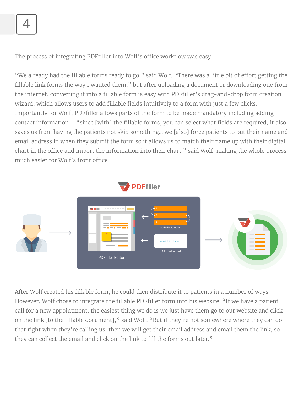After Wolf created his fillable form, he could then distribute it to patients in a number of ways. However, Wolf chose to integrate the fillable PDFfiller form into his website. "If we have a patient call for a new appointment, the easiest thing we do is we just have them go to our website and click on the link [to the fillable document]," said Wolf. "But if they're not somewhere where they can do that right when they're calling us, then we will get their email address and email them the link, so they can collect the email and click on the link to fill the forms out later."



The process of integrating PDFfiller into Wolf's office workflow was easy:

"We already had the fillable forms ready to go," said Wolf. "There was a little bit of effort getting the fillable link forms the way I wanted them," but after uploading a document or downloading one from the internet, converting it into a fillable form is easy with PDFfiller's drag-and-drop form creation wizard, which allows users to add fillable fields intuitively to a form with just a few clicks. Importantly for Wolf, PDFfiller allows parts of the form to be made mandatory including adding contact information – "since [with] the fillable forms, you can select what fields are required, it also saves us from having the patients not skip something… we [also] force patients to put their name and email address in when they submit the form so it allows us to match their name up with their digital chart in the office and import the information into their chart," said Wolf, making the whole process much easier for Wolf's front office.



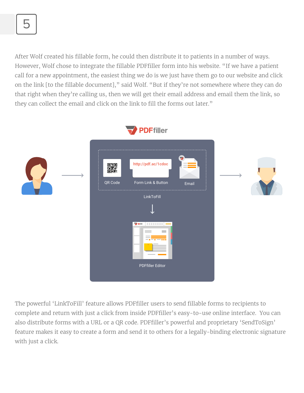

After Wolf created his fillable form, he could then distribute it to patients in a number of ways. However, Wolf chose to integrate the fillable PDFfiller form into his website. "If we have a patient call for a new appointment, the easiest thing we do is we just have them go to our website and click on the link [to the fillable document]," said Wolf. "But if they're not somewhere where they can do that right when they're calling us, then we will get their email address and email them the link, so they can collect the email and click on the link to fill the forms out later."

The powerful 'LinkToFill' feature allows PDFfiller users to send fillable forms to recipients to complete and return with just a click from inside PDFfiller's easy-to-use online interface. You can also distribute forms with a URL or a QR code. PDFfiller's powerful and proprietary 'SendToSign' feature makes it easy to create a form and send it to others for a legally-binding electronic signature with just a click.



#### **PDFfiller**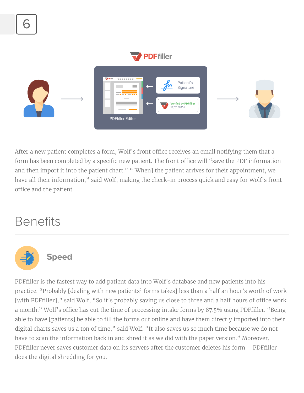

After a new patient completes a form, Wolf's front office receives an email notifying them that a form has been completed by a specific new patient. The front office will "save the PDF information and then import it into the patient chart." "[When] the patient arrives for their appointment, we have all their information," said Wolf, making the check-in process quick and easy for Wolf's front office and the patient.

#### **Benefits**



PDFfiller is the fastest way to add patient data into Wolf's database and new patients into his practice. "Probably [dealing with new patients' forms takes] less than a half an hour's worth of work [with PDFfiller]," said Wolf, "So it's probably saving us close to three and a half hours of office work a month." Wolf's office has cut the time of processing intake forms by 87.5% using PDFfiller. "Being able to have [patients] be able to fill the forms out online and have them directly imported into their digital charts saves us a ton of time," said Wolf. "It also saves us so much time because we do not have to scan the information back in and shred it as we did with the paper version." Moreover, PDFfiller never saves customer data on its servers after the customer deletes his form – PDFfiller does the digital shredding for you.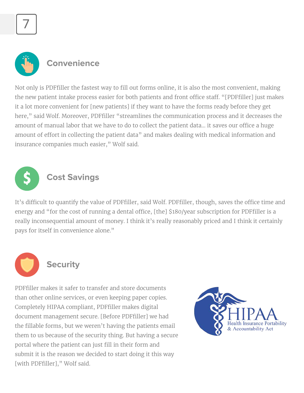7



Not only is PDFfiller the fastest way to fill out forms online, it is also the most convenient, making the new patient intake process easier for both patients and front office staff. "[PDFfiller] just makes it a lot more convenient for [new patients] if they want to have the forms ready before they get here," said Wolf. Moreover, PDFfiller "streamlines the communication process and it decreases the amount of manual labor that we have to do to collect the patient data... it saves our office a huge amount of effort in collecting the patient data" and makes dealing with medical information and insurance companies much easier," Wolf said.

It's difficult to quantify the value of PDFfiller, said Wolf. PDFfiller, though, saves the office time and energy and "for the cost of running a dental office, [the] \$180/year subscription for PDFfiller is a really inconsequential amount of money. I think it's really reasonably priced and I think it certainly pays for itself in convenience alone."





PDFfiller makes it safer to transfer and store documents than other online services, or even keeping paper copies. Completely HIPAA compliant, PDFfiller makes digital document management secure. [Before PDFfiller] we had the fillable forms, but we weren't having the patients email them to us because of the security thing. But having a secure portal where the patient can just fill in their form and submit it is the reason we decided to start doing it this way [with PDFfiller]," Wolf said.